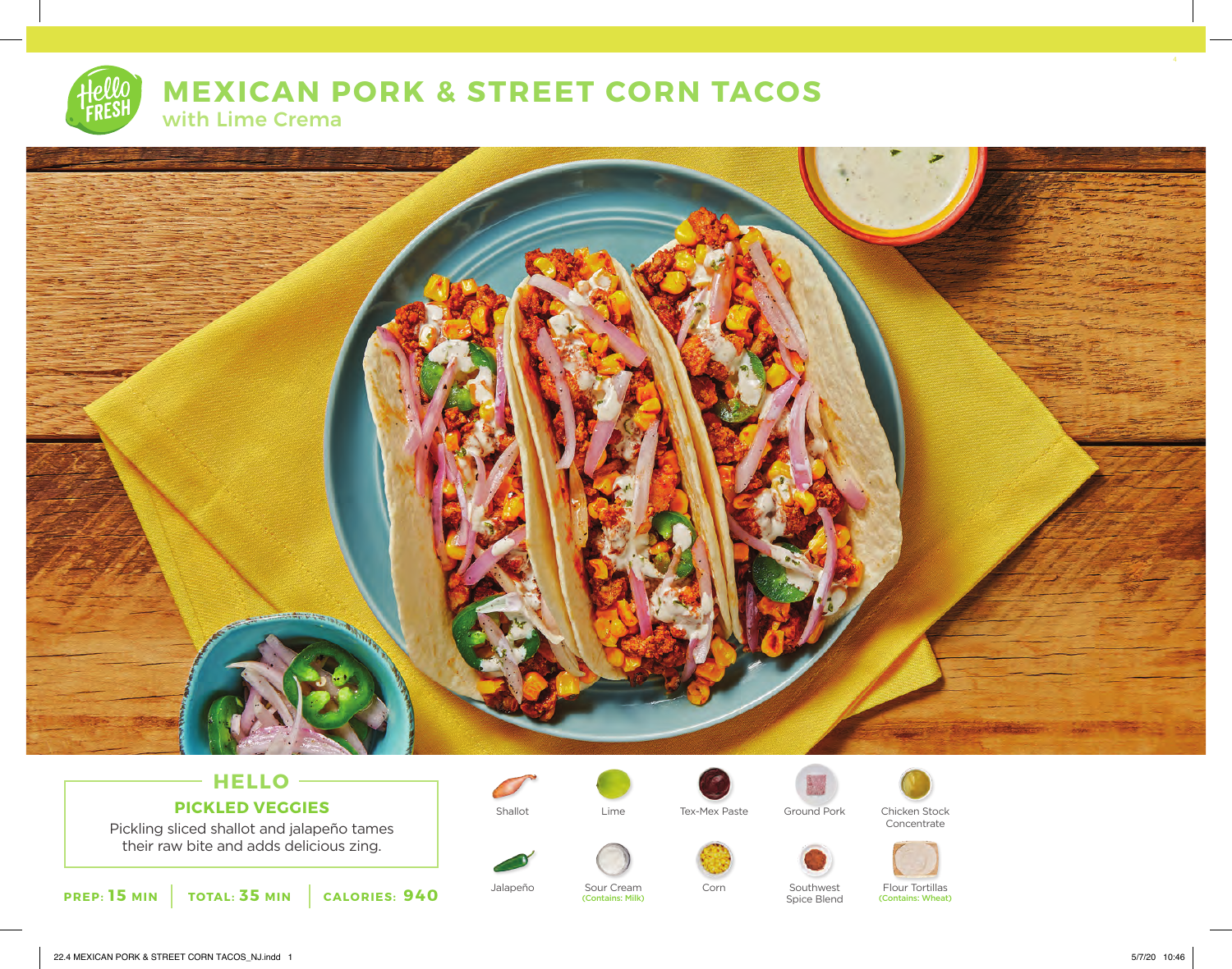# **MEXICAN PORK & STREET CORN TACOS** with Lime Crema



## **HELLO PICKLED VEGGIES**

Pickling sliced shallot and jalapeño tames their raw bite and adds delicious zing.







Shallot **Tex-Mex Paste** Ground Pork Chicken Stock







Concentrate



Jalapeño Sour Cream Corn Southwest<br>Contains: Milk) Contains (Contains: Milk) Spice Blend

(Contains: Wheat)